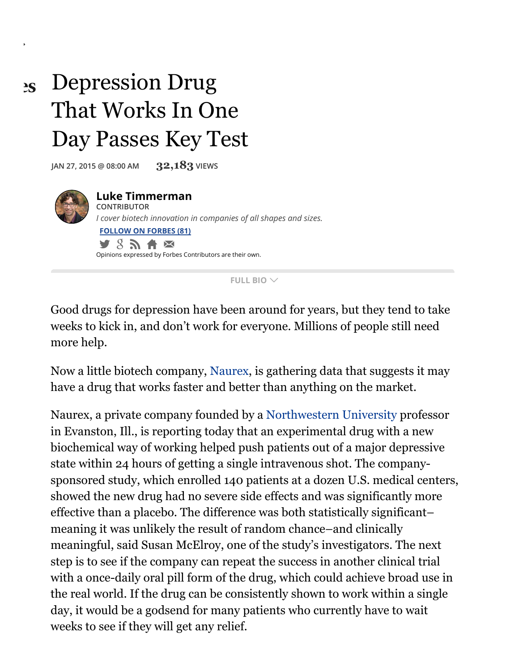## Depression Drug That Works In One Day Passes Key Test  $2S$

**JAN 27, <sup>2015</sup> @ 08:00 AM 32,183 VIEWS**



**FULL BIO**

Good drugs for depression have been around for years, but they tend to take weeks to kick in, and don't work for everyone. Millions of people still need more help.

Now a little biotech company, [Naurex,](https://www.naurex.com/) is gathering data that suggests it may have a drug that works faster and better than anything on the market.

Naurex, a private company founded by a [Northwestern](http://www.forbes.com/colleges/northwestern-university/) University professor in Evanston, Ill., is reporting today that an experimental drug with a new biochemical way of working helped push patients out of a major depressive state within 24 hours of getting a single intravenous shot. The companysponsored study, which enrolled 140 patients at a dozen U.S. medical centers, showed the new drug had no severe side effects and was significantly more effective than a placebo. The difference was both statistically significant– meaning it was unlikely the result of random chance–and clinically meaningful, said Susan McElroy, one of the study's investigators. The next step is to see if the company can repeat the success in another clinical trial with a once-daily oral pill form of the drug, which could achieve broad use in the real world. If the drug can be consistently shown to work within a single day, it would be a godsend for many patients who currently have to wait weeks to see if they will get any relief.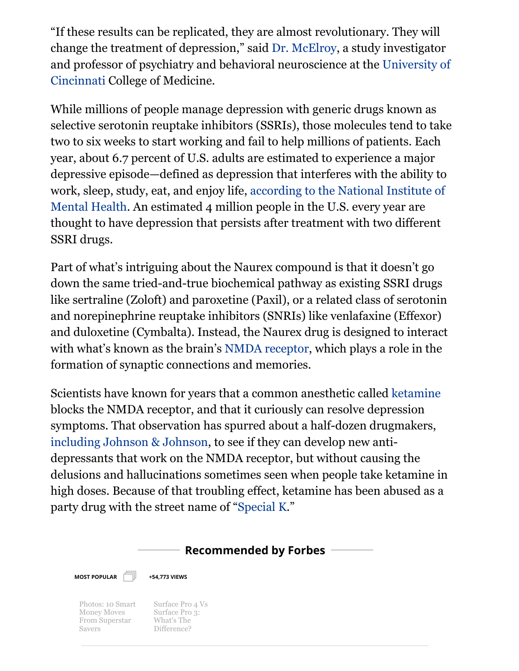"If these results can be replicated, they are almost revolutionary. They will change the treatment of depression," said Dr. [McElroy](http://www.med.uc.edu/departme/ctrpsych/McElroy.html), a study investigator and professor of psychiatry and behavioral [neuroscience](http://www.forbes.com/colleges/university-of-cincinnati-main-campus/) at the University of Cincinnati College of Medicine.

While millions of people manage depression with generic drugs known as selective serotonin reuptake inhibitors (SSRIs), those molecules tend to take two to six weeks to start working and fail to help millions of patients. Each year, about 6.7 percent of U.S. adults are estimated to experience a major depressive episode—defined as depression that interferes with the ability to work, sleep, study, eat, and enjoy life, according to the National Institute of Mental Health. An [estimated](http://www.nimh.nih.gov/health/topics/depression/index.shtml) 4 million people in the U.S. every year are thought to have depression that persists after treatment with two different SSRI drugs.

Part of what's intriguing about the Naurex compound is that it doesn't go down the same tried-and-true biochemical pathway as existing SSRI drugs like sertraline (Zoloft) and paroxetine (Paxil), or a related class of serotonin and norepinephrine reuptake inhibitors (SNRIs) like venlafaxine (Effexor) and duloxetine (Cymbalta). Instead, the Naurex drug is designed to interact with what's known as the brain's NMDA [receptor,](http://en.wikipedia.org/wiki/NMDA_receptor) which plays a role in the formation of synaptic connections and memories.

Scientists have known for years that a common anesthetic called [ketamine](http://en.wikipedia.org/wiki/Ketamine) blocks the NMDA receptor, and that it curiously can resolve depression symptoms. That observation has spurred about a half-dozen drugmakers, [including](http://www.forbes.com/sites/matthewherper/2013/05/23/johnson-johnson-is-reinventing-the-party-drug-ketamine-to-treat-depression/) Johnson & Johnson, to see if they can develop new antidepressants that work on the NMDA receptor, but without causing the delusions and hallucinations sometimes seen when people take ketamine in high doses. Because of that troubling effect, ketamine has been abused as a party drug with the street name of "[Special](http://www.nytimes.com/2014/12/10/business/special-k-a-hallucinogen-raises-hopes-and-concerns-as-a-treatment-for-depression.html) K."

## **Recommended by Forbes**



**+54,773 VIEWS**

Photos: 10 Smart Money Moves From [Superstar](http://www.forbes.com/pictures/flhm45jljm/10-smart-money-moves-fro/) Savers

Surface Pro 4 Vs Surface Pro 3: What's The [Difference?](http://www.forbes.com/sites/gordonkelly/2015/10/06/microsoft-surface-pro-4-vs-surface-pro-3-whats-the-difference/)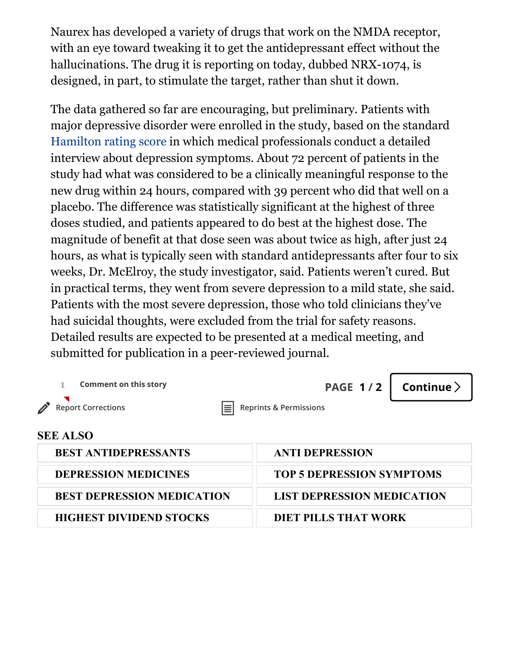Naurex has developed a variety of drugs that work on the NMDA receptor, with an eye toward tweaking it to get the antidepressant effect without the hallucinations. The drug it is reporting on today, dubbed NRX-1074, is designed, in part, to stimulate the target, rather than shut it down.

The data gathered so far are encouraging, but preliminary. Patients with major depressive disorder were enrolled in the study, based on the standard [Hamilton](https://pdbp.ninds.nih.gov/assets/crfs/Hamilton%20Depression%20Rating%20Scale%20%28HDRS%29.pdf) rating score in which medical professionals conduct a detailed interview about depression symptoms. About 72 percent of patients in the study had what was considered to be a clinically meaningful response to the new drug within 24 hours, compared with 39 percent who did that well on a placebo. The difference was statistically significant at the highest of three doses studied, and patients appeared to do best at the highest dose. The magnitude of benefit at that dose seen was about twice as high, after just 24 hours, as what is typically seen with standard antidepressants after four to six weeks, Dr. McElroy, the study investigator, said. Patients weren't cured. But in practical terms, they went from severe depression to a mild state, she said. Patients with the most severe depression, those who told clinicians they've had suicidal thoughts, were excluded from the trial for safety reasons. Detailed results are expected to be presented at a medical meeting, and submitted for publication in a peer-reviewed journal.

| <b>Comment on this story</b>      | <b>PAGE 1/2</b>                   | Continue $\geq$ |  |
|-----------------------------------|-----------------------------------|-----------------|--|
| <b>Report Corrections</b><br>lΞl  | <b>Reprints &amp; Permissions</b> |                 |  |
| <b>SEE ALSO</b>                   |                                   |                 |  |
| <b>BEST ANTIDEPRESSANTS</b>       | <b>ANTI DEPRESSION</b>            |                 |  |
| <b>DEPRESSION MEDICINES</b>       | <b>TOP 5 DEPRESSION SYMPTOMS</b>  |                 |  |
| <b>BEST DEPRESSION MEDICATION</b> | <b>LIST DEPRESSION MEDICATION</b> |                 |  |
| <b>HIGHEST DIVIDEND STOCKS</b>    | <b>DIET PILLS THAT WORK</b>       |                 |  |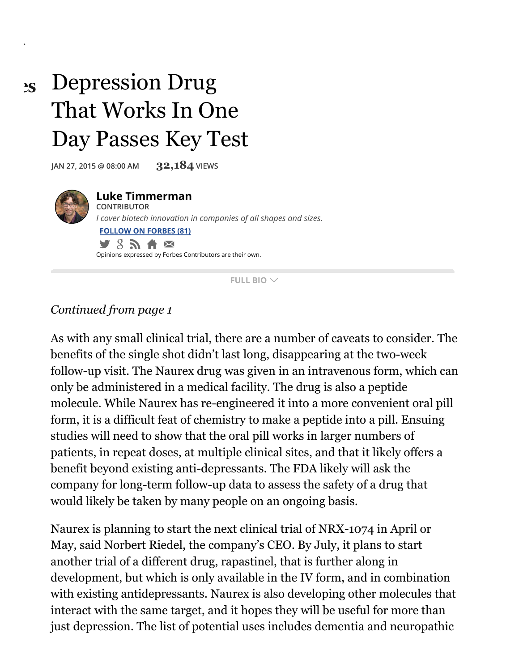## Depression Drug That Works In One Day Passes Key Test  $2S$

**JAN 27, <sup>2015</sup> @ 08:00 AM 32,184 VIEWS**



**FULL BIO**

## *Continued from page 1*

As with any small clinical trial, there are a number of caveats to consider. The benefits of the single shot didn't last long, disappearing at the two-week follow-up visit. The Naurex drug was given in an intravenous form, which can only be administered in a medical facility. The drug is also a peptide molecule. While Naurex has re-engineered it into a more convenient oral pill form, it is a difficult feat of chemistry to make a peptide into a pill. Ensuing studies will need to show that the oral pill works in larger numbers of patients, in repeat doses, at multiple clinical sites, and that it likely offers a benefit beyond existing anti-depressants. The FDA likely will ask the company for long-term follow-up data to assess the safety of a drug that would likely be taken by many people on an ongoing basis.

Naurex is planning to start the next clinical trial of NRX-1074 in April or May, said Norbert Riedel, the company's CEO. By July, it plans to start another trial of a different drug, rapastinel, that is further along in development, but which is only available in the IV form, and in combination with existing antidepressants. Naurex is also developing other molecules that interact with the same target, and it hopes they will be useful for more than just depression. The list of potential uses includes dementia and neuropathic